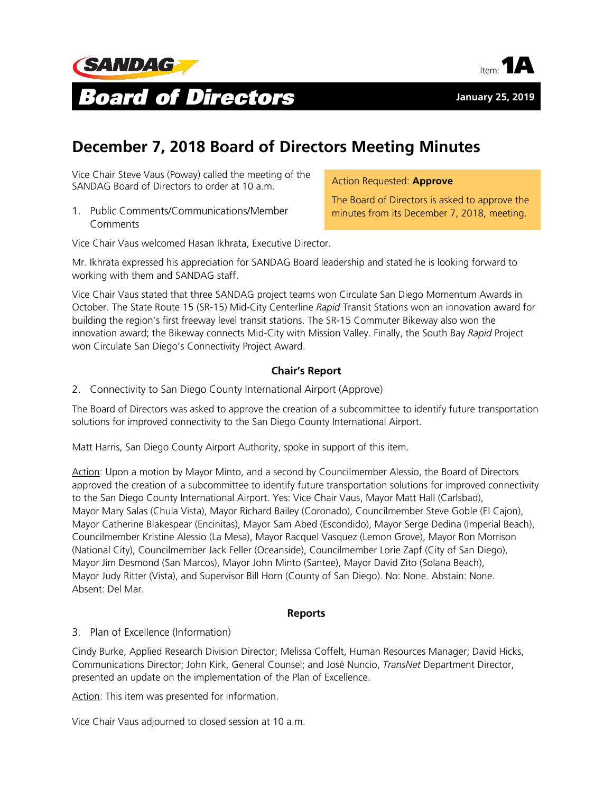



# **December 7, 2018 Board of Directors Meeting Minutes**

Vice Chair Steve Vaus (Poway) called the meeting of the SANDAG Board of Directors to order at 10 a.m.

1. Public Comments/Communications/Member **Comments** 

Action Requested: **Approve**

The Board of Directors is asked to approve the minutes from its December 7, 2018, meeting.

Vice Chair Vaus welcomed Hasan Ikhrata, Executive Director.

Mr. Ikhrata expressed his appreciation for SANDAG Board leadership and stated he is looking forward to working with them and SANDAG staff.

Vice Chair Vaus stated that three SANDAG project teams won Circulate San Diego Momentum Awards in October. The State Route 15 (SR-15) Mid-City Centerline *Rapid* Transit Stations won an innovation award for building the region's first freeway level transit stations. The SR-15 Commuter Bikeway also won the innovation award; the Bikeway connects Mid-City with Mission Valley. Finally, the South Bay *Rapid* Project won Circulate San Diego's Connectivity Project Award.

### **Chair's Report**

2. Connectivity to San Diego County International Airport (Approve)

The Board of Directors was asked to approve the creation of a subcommittee to identify future transportation solutions for improved connectivity to the San Diego County International Airport.

Matt Harris, San Diego County Airport Authority, spoke in support of this item.

Action: Upon a motion by Mayor Minto, and a second by Councilmember Alessio, the Board of Directors approved the creation of a subcommittee to identify future transportation solutions for improved connectivity to the San Diego County International Airport. Yes: Vice Chair Vaus, Mayor Matt Hall (Carlsbad), Mayor Mary Salas (Chula Vista), Mayor Richard Bailey (Coronado), Councilmember Steve Goble (El Cajon), Mayor Catherine Blakespear (Encinitas), Mayor Sam Abed (Escondido), Mayor Serge Dedina (Imperial Beach), Councilmember Kristine Alessio (La Mesa), Mayor Racquel Vasquez (Lemon Grove), Mayor Ron Morrison (National City), Councilmember Jack Feller (Oceanside), Councilmember Lorie Zapf (City of San Diego), Mayor Jim Desmond (San Marcos), Mayor John Minto (Santee), Mayor David Zito (Solana Beach), Mayor Judy Ritter (Vista), and Supervisor Bill Horn (County of San Diego). No: None. Abstain: None. Absent: Del Mar.

#### **Reports**

#### 3. Plan of Excellence (Information)

Cindy Burke, Applied Research Division Director; Melissa Coffelt, Human Resources Manager; David Hicks, Communications Director; John Kirk, General Counsel; and José Nuncio, *TransNet* Department Director, presented an update on the implementation of the Plan of Excellence.

Action: This item was presented for information.

Vice Chair Vaus adjourned to closed session at 10 a.m.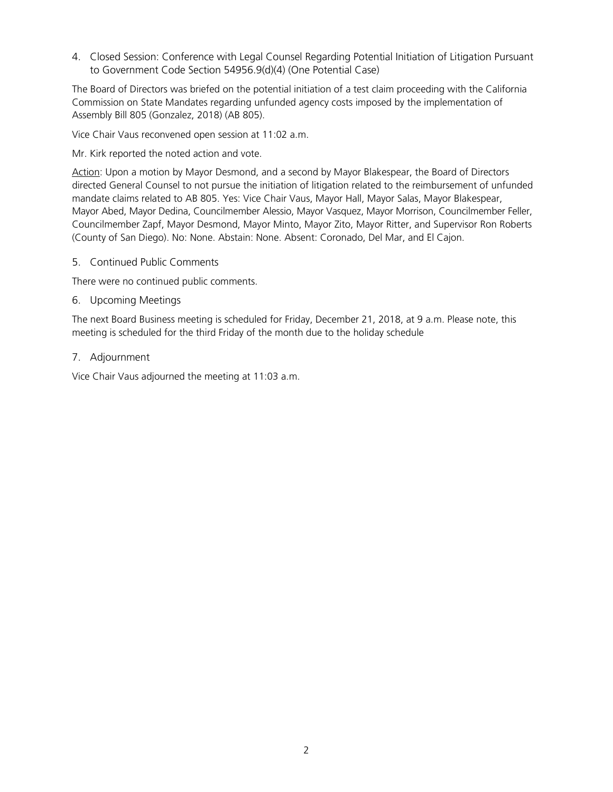4. Closed Session: Conference with Legal Counsel Regarding Potential Initiation of Litigation Pursuant to Government Code Section 54956.9(d)(4) (One Potential Case)

The Board of Directors was briefed on the potential initiation of a test claim proceeding with the California Commission on State Mandates regarding unfunded agency costs imposed by the implementation of Assembly Bill 805 (Gonzalez, 2018) (AB 805).

Vice Chair Vaus reconvened open session at 11:02 a.m.

Mr. Kirk reported the noted action and vote.

Action: Upon a motion by Mayor Desmond, and a second by Mayor Blakespear, the Board of Directors directed General Counsel to not pursue the initiation of litigation related to the reimbursement of unfunded mandate claims related to AB 805. Yes: Vice Chair Vaus, Mayor Hall, Mayor Salas, Mayor Blakespear, Mayor Abed, Mayor Dedina, Councilmember Alessio, Mayor Vasquez, Mayor Morrison, Councilmember Feller, Councilmember Zapf, Mayor Desmond, Mayor Minto, Mayor Zito, Mayor Ritter, and Supervisor Ron Roberts (County of San Diego). No: None. Abstain: None. Absent: Coronado, Del Mar, and El Cajon.

5. Continued Public Comments

There were no continued public comments.

6. Upcoming Meetings

The next Board Business meeting is scheduled for Friday, December 21, 2018, at 9 a.m. Please note, this meeting is scheduled for the third Friday of the month due to the holiday schedule

7. Adjournment

Vice Chair Vaus adjourned the meeting at 11:03 a.m.